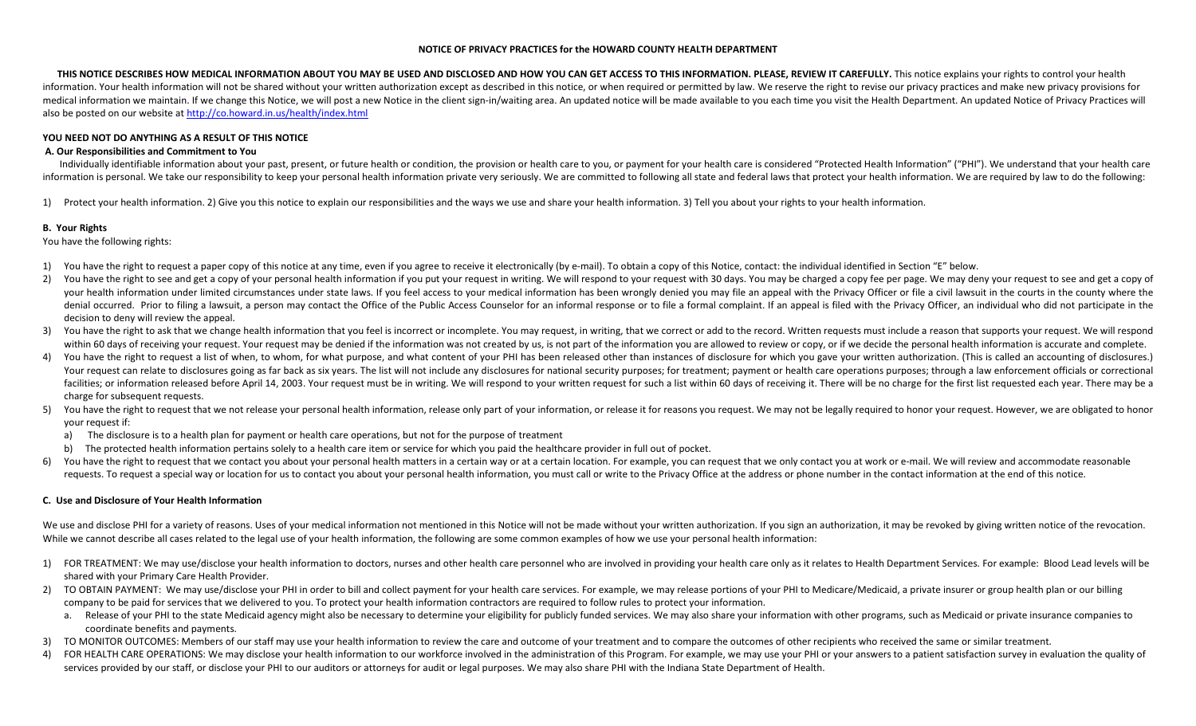### NOTICE OF PRIVACY PRACTICES for the HOWARD COUNTY HEALTH DEPARTMENT

THIS NOTICE DESCRIBES HOW MEDICAL INFORMATION ABOUT YOU MAY BE USED AND DISCLOSED AND HOW YOU CAN GET ACCESS TO THIS INFORMATION. PLEASE, REVIEW IT CAREFULLY. This notice explains your rights to control your health information. Your health information will not be shared without your written authorization except as described in this notice, or when required or permitted by law. We reserve the right to revise our privacy practices and medical information we maintain. If we change this Notice, we will post a new Notice in the client sign-in/waiting area. An updated notice will be made available to you each time you visit the Health Department. An updated also be posted on our website at http://co.howard.in.us/health/index.html

## YOU NEED NOT DO ANYTHING AS A RESULT OF THIS NOTICE

## A. Our Responsibilities and Commitment to You

Individually identifiable information about your past, present, or future health or condition, the provision or health care to you, or payment for your health care is considered "Protected Health Information" ("PHI"). We u information is personal. We take our responsibility to keep your personal health information private very seriously. We are committed to following all state and federal laws that protect your health information. We are req

1) Protect your health information. 2) Give you this notice to explain our responsibilities and the ways we use and share your health information. 3) Tell you about your rights to your health information.

# B. Your Rights

You have the following rights:

- 1) You have the right to request a paper copy of this notice at any time, even if you agree to receive it electronically (by e-mail). To obtain a copy of this Notice, contact: the individual identified in Section "E" below.
- 2)You have the right to see and get a copy of your personal health information if you put your request in writing. We will respond to your request with 30 days. You may be charged a copy fee per page. We may deny your reques your health information under limited circumstances under state laws. If you feel access to your medical information has been wrongly denied you may file an appeal with the Privacy Officer or file a civil lawsuit in the co denial occurred. Prior to filing a lawsuit, a person may contact the Office of the Public Access Counselor for an informal response or to file a formal complaint. If an appeal is filed with the Privacy Officer, an individu decision to deny will review the appeal.
- 3) You have the right to ask that we change health information that you feel is incorrect or incomplete. You may request, in writing, that we correct or add to the record. Written requests must include a reason that suppor within 60 days of receiving your request. Your request may be denied if the information was not created by us, is not part of the information you are allowed to review or copy, or if we decide the personal health informati
- 4)You have the right to request a list of when, to whom, for what purpose, and what content of your PHI has been released other than instances of disclosure for which you gave your written authorization. (This is called an a Your request can relate to disclosures going as far back as six years. The list will not include any disclosures for national security purposes; for treatment; payment or health care operations purposes; through a law enfo facilities: or information released before April 14, 2003. Your request must be in writing. We will respond to your written request for such a list within 60 days of receiving it. There will be no charge for the first list charge for subsequent requests.
- 5) You have the right to request that we not release your personal health information, release only part of your information, or release it for reasons you request. We may not be legally required to honor your request. How your request if:
	- a) The disclosure is to a health plan for payment or health care operations, but not for the purpose of treatment
	- b) The protected health information pertains solely to a health care item or service for which you paid the healthcare provider in full out of pocket.
- 6)You have the right to request that we contact you about your personal health matters in a certain way or at a certain location. For example, you can request that we only contact you at work or e-mail. We will review and ac requests. To request a special way or location for us to contact you about your personal health information, you must call or write to the Privacy Office at the address or phone number in the contact information at the end

# C. Use and Disclosure of Your Health Information

We use and disclose PHI for a variety of reasons. Uses of your medical information not mentioned in this Notice will not be made without your written authorization. If you sign an authorization, it may be revoked by giving While we cannot describe all cases related to the legal use of your health information, the following are some common examples of how we use your personal health information:

- 1) FOR TREATMENT: We may use/disclose your health information to doctors, nurses and other health care personnel who are involved in providing your health care only as it relates to Health Department Services. For example: shared with your Primary Care Health Provider.
- 2) TO OBTAIN PAYMENT: We may use/disclose your PHI in order to bill and collect payment for your health care services. For example, we may release portions of your PHI to Medicare/Medicaid, a private insurer or group healt company to be paid for services that we delivered to you. To protect your health information contractors are required to follow rules to protect your information.
	- a. Release of your PHI to the state Medicaid agency might also be necessary to determine your eligibility for publicly funded services. We may also share your information with other programs, such as Medicaid or private in coordinate benefits and payments.
- 3) TO MONITOR OUTCOMES: Members of our staff may use your health information to review the care and outcome of your treatment and to compare the outcomes of other recipients who received the same or similar treatment.
- 4)FOR HEALTH CARE OPERATIONS: We may disclose your health information to our workforce involved in the administration of this Program. For example, we may use your PHI or your answers to a patient satisfaction survey in eval services provided by our staff, or disclose your PHI to our auditors or attorneys for audit or legal purposes. We may also share PHI with the Indiana State Department of Health.